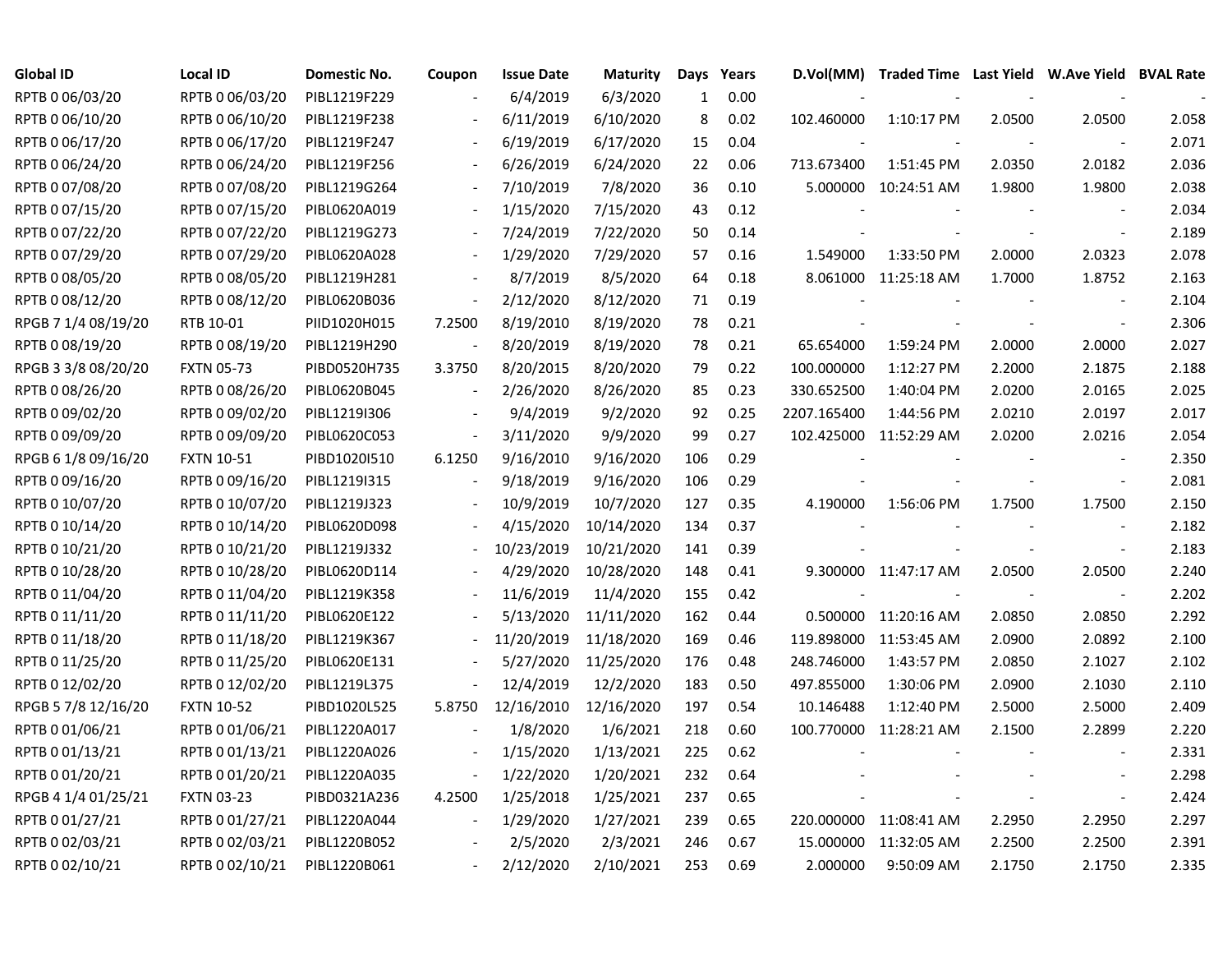| <b>Global ID</b>    | <b>Local ID</b>   | Domestic No. | Coupon                   | <b>Issue Date</b> | <b>Maturity</b> | Days         | Years | D.Vol(MM)   | Traded Time Last Yield W.Ave Yield BVAL Rate |        |                          |       |
|---------------------|-------------------|--------------|--------------------------|-------------------|-----------------|--------------|-------|-------------|----------------------------------------------|--------|--------------------------|-------|
| RPTB 0 06/03/20     | RPTB 0 06/03/20   | PIBL1219F229 |                          | 6/4/2019          | 6/3/2020        | $\mathbf{1}$ | 0.00  |             |                                              |        |                          |       |
| RPTB 0 06/10/20     | RPTB 0 06/10/20   | PIBL1219F238 |                          | 6/11/2019         | 6/10/2020       | 8            | 0.02  | 102.460000  | 1:10:17 PM                                   | 2.0500 | 2.0500                   | 2.058 |
| RPTB 0 06/17/20     | RPTB 0 06/17/20   | PIBL1219F247 |                          | 6/19/2019         | 6/17/2020       | 15           | 0.04  |             |                                              |        |                          | 2.071 |
| RPTB 0 06/24/20     | RPTB 0 06/24/20   | PIBL1219F256 |                          | 6/26/2019         | 6/24/2020       | 22           | 0.06  | 713.673400  | 1:51:45 PM                                   | 2.0350 | 2.0182                   | 2.036 |
| RPTB 0 07/08/20     | RPTB 0 07/08/20   | PIBL1219G264 |                          | 7/10/2019         | 7/8/2020        | 36           | 0.10  |             | 5.000000 10:24:51 AM                         | 1.9800 | 1.9800                   | 2.038 |
| RPTB 0 07/15/20     | RPTB 0 07/15/20   | PIBL0620A019 |                          | 1/15/2020         | 7/15/2020       | 43           | 0.12  |             |                                              |        | $\blacksquare$           | 2.034 |
| RPTB 0 07/22/20     | RPTB 0 07/22/20   | PIBL1219G273 |                          | 7/24/2019         | 7/22/2020       | 50           | 0.14  |             |                                              |        | $\blacksquare$           | 2.189 |
| RPTB 0 07/29/20     | RPTB 0 07/29/20   | PIBL0620A028 |                          | 1/29/2020         | 7/29/2020       | 57           | 0.16  | 1.549000    | 1:33:50 PM                                   | 2.0000 | 2.0323                   | 2.078 |
| RPTB 0 08/05/20     | RPTB 0 08/05/20   | PIBL1219H281 |                          | 8/7/2019          | 8/5/2020        | 64           | 0.18  |             | 8.061000 11:25:18 AM                         | 1.7000 | 1.8752                   | 2.163 |
| RPTB 0 08/12/20     | RPTB 0 08/12/20   | PIBL0620B036 | $\overline{\phantom{a}}$ | 2/12/2020         | 8/12/2020       | 71           | 0.19  |             |                                              |        |                          | 2.104 |
| RPGB 7 1/4 08/19/20 | RTB 10-01         | PIID1020H015 | 7.2500                   | 8/19/2010         | 8/19/2020       | 78           | 0.21  |             |                                              |        | $\overline{\phantom{a}}$ | 2.306 |
| RPTB 0 08/19/20     | RPTB 0 08/19/20   | PIBL1219H290 |                          | 8/20/2019         | 8/19/2020       | 78           | 0.21  | 65.654000   | 1:59:24 PM                                   | 2.0000 | 2.0000                   | 2.027 |
| RPGB 3 3/8 08/20/20 | <b>FXTN 05-73</b> | PIBD0520H735 | 3.3750                   | 8/20/2015         | 8/20/2020       | 79           | 0.22  | 100.000000  | 1:12:27 PM                                   | 2.2000 | 2.1875                   | 2.188 |
| RPTB 0 08/26/20     | RPTB 0 08/26/20   | PIBL0620B045 |                          | 2/26/2020         | 8/26/2020       | 85           | 0.23  | 330.652500  | 1:40:04 PM                                   | 2.0200 | 2.0165                   | 2.025 |
| RPTB 0 09/02/20     | RPTB 0 09/02/20   | PIBL1219I306 |                          | 9/4/2019          | 9/2/2020        | 92           | 0.25  | 2207.165400 | 1:44:56 PM                                   | 2.0210 | 2.0197                   | 2.017 |
| RPTB 0 09/09/20     | RPTB 0 09/09/20   | PIBL0620C053 |                          | 3/11/2020         | 9/9/2020        | 99           | 0.27  |             | 102.425000 11:52:29 AM                       | 2.0200 | 2.0216                   | 2.054 |
| RPGB 6 1/8 09/16/20 | <b>FXTN 10-51</b> | PIBD1020I510 | 6.1250                   | 9/16/2010         | 9/16/2020       | 106          | 0.29  |             |                                              |        |                          | 2.350 |
| RPTB 0 09/16/20     | RPTB 0 09/16/20   | PIBL1219I315 |                          | 9/18/2019         | 9/16/2020       | 106          | 0.29  |             |                                              |        | $\overline{\phantom{a}}$ | 2.081 |
| RPTB 0 10/07/20     | RPTB 0 10/07/20   | PIBL1219J323 |                          | 10/9/2019         | 10/7/2020       | 127          | 0.35  | 4.190000    | 1:56:06 PM                                   | 1.7500 | 1.7500                   | 2.150 |
| RPTB 0 10/14/20     | RPTB 0 10/14/20   | PIBL0620D098 |                          | 4/15/2020         | 10/14/2020      | 134          | 0.37  |             |                                              |        | $\overline{\phantom{a}}$ | 2.182 |
| RPTB 0 10/21/20     | RPTB 0 10/21/20   | PIBL1219J332 |                          | 10/23/2019        | 10/21/2020      | 141          | 0.39  |             |                                              |        | $\overline{\phantom{a}}$ | 2.183 |
| RPTB 0 10/28/20     | RPTB 0 10/28/20   | PIBL0620D114 |                          | 4/29/2020         | 10/28/2020      | 148          | 0.41  |             | 9.300000 11:47:17 AM                         | 2.0500 | 2.0500                   | 2.240 |
| RPTB 0 11/04/20     | RPTB 0 11/04/20   | PIBL1219K358 |                          | 11/6/2019         | 11/4/2020       | 155          | 0.42  |             |                                              |        | $\overline{\phantom{a}}$ | 2.202 |
| RPTB 0 11/11/20     | RPTB 0 11/11/20   | PIBL0620E122 |                          | 5/13/2020         | 11/11/2020      | 162          | 0.44  |             | 0.500000 11:20:16 AM                         | 2.0850 | 2.0850                   | 2.292 |
| RPTB 0 11/18/20     | RPTB 0 11/18/20   | PIBL1219K367 |                          | 11/20/2019        | 11/18/2020      | 169          | 0.46  |             | 119.898000 11:53:45 AM                       | 2.0900 | 2.0892                   | 2.100 |
| RPTB 0 11/25/20     | RPTB 0 11/25/20   | PIBL0620E131 |                          | 5/27/2020         | 11/25/2020      | 176          | 0.48  | 248.746000  | 1:43:57 PM                                   | 2.0850 | 2.1027                   | 2.102 |
| RPTB 0 12/02/20     | RPTB 0 12/02/20   | PIBL1219L375 |                          | 12/4/2019         | 12/2/2020       | 183          | 0.50  | 497.855000  | 1:30:06 PM                                   | 2.0900 | 2.1030                   | 2.110 |
| RPGB 5 7/8 12/16/20 | <b>FXTN 10-52</b> | PIBD1020L525 | 5.8750                   | 12/16/2010        | 12/16/2020      | 197          | 0.54  | 10.146488   | 1:12:40 PM                                   | 2.5000 | 2.5000                   | 2.409 |
| RPTB 0 01/06/21     | RPTB 0 01/06/21   | PIBL1220A017 |                          | 1/8/2020          | 1/6/2021        | 218          | 0.60  |             | 100.770000 11:28:21 AM                       | 2.1500 | 2.2899                   | 2.220 |
| RPTB 0 01/13/21     | RPTB 0 01/13/21   | PIBL1220A026 |                          | 1/15/2020         | 1/13/2021       | 225          | 0.62  |             |                                              |        |                          | 2.331 |
| RPTB 0 01/20/21     | RPTB 0 01/20/21   | PIBL1220A035 |                          | 1/22/2020         | 1/20/2021       | 232          | 0.64  |             |                                              |        |                          | 2.298 |
| RPGB 4 1/4 01/25/21 | <b>FXTN 03-23</b> | PIBD0321A236 | 4.2500                   | 1/25/2018         | 1/25/2021       | 237          | 0.65  |             |                                              |        |                          | 2.424 |
| RPTB 0 01/27/21     | RPTB 0 01/27/21   | PIBL1220A044 |                          | 1/29/2020         | 1/27/2021       | 239          | 0.65  |             | 220.000000 11:08:41 AM                       | 2.2950 | 2.2950                   | 2.297 |
| RPTB 0 02/03/21     | RPTB 0 02/03/21   | PIBL1220B052 |                          | 2/5/2020          | 2/3/2021        | 246          | 0.67  |             | 15.000000 11:32:05 AM                        | 2.2500 | 2.2500                   | 2.391 |
| RPTB 0 02/10/21     | RPTB 0 02/10/21   | PIBL1220B061 | $\blacksquare$           | 2/12/2020         | 2/10/2021       | 253          | 0.69  | 2.000000    | 9:50:09 AM                                   | 2.1750 | 2.1750                   | 2.335 |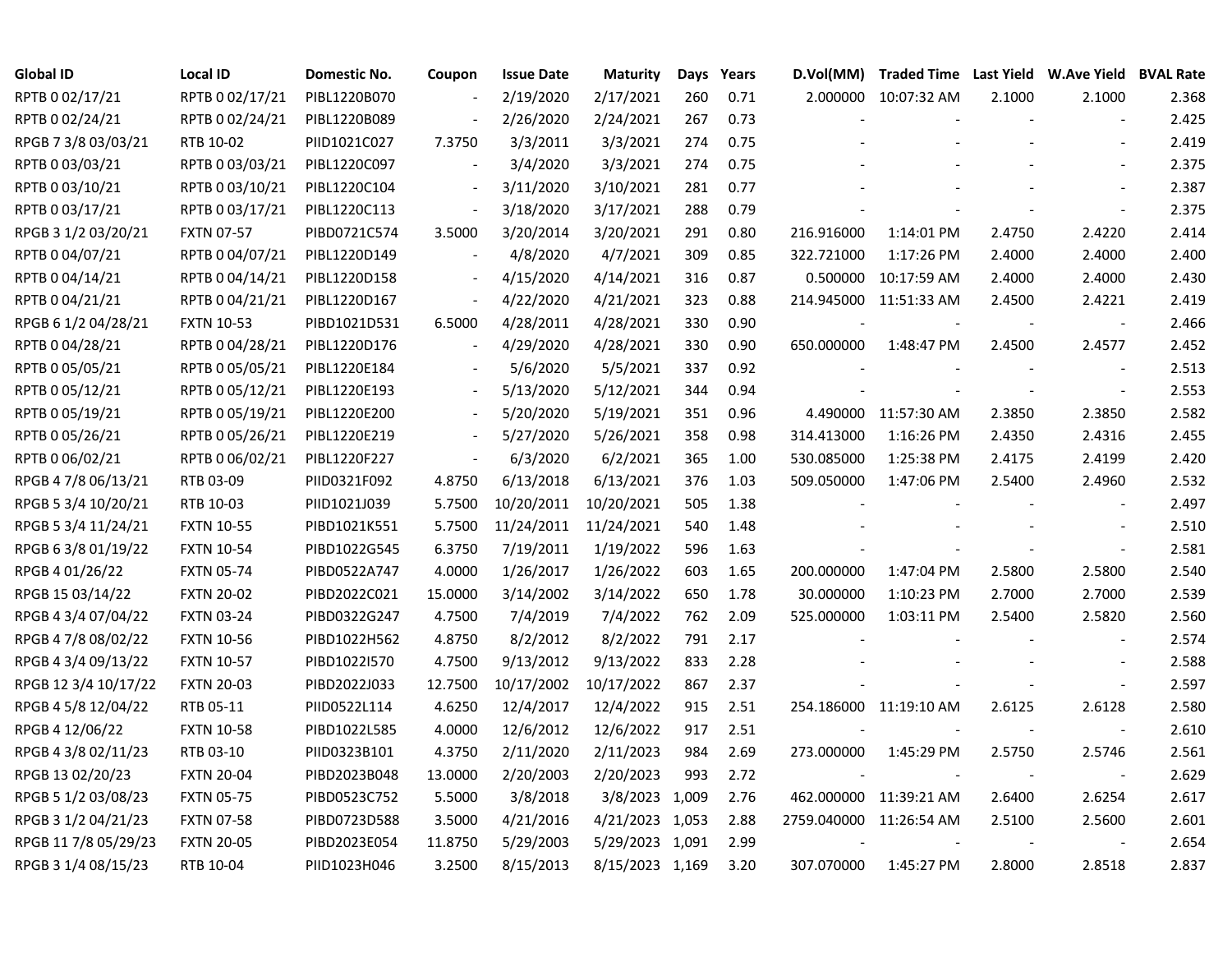| <b>Global ID</b>     | <b>Local ID</b>   | Domestic No. | Coupon                   | <b>Issue Date</b> | <b>Maturity</b> |     | Days Years | D.Vol(MM)  | Traded Time Last Yield W.Ave Yield BVAL Rate |        |                          |       |
|----------------------|-------------------|--------------|--------------------------|-------------------|-----------------|-----|------------|------------|----------------------------------------------|--------|--------------------------|-------|
| RPTB 0 02/17/21      | RPTB 0 02/17/21   | PIBL1220B070 |                          | 2/19/2020         | 2/17/2021       | 260 | 0.71       |            | 2.000000 10:07:32 AM                         | 2.1000 | 2.1000                   | 2.368 |
| RPTB 0 02/24/21      | RPTB 0 02/24/21   | PIBL1220B089 |                          | 2/26/2020         | 2/24/2021       | 267 | 0.73       |            |                                              |        |                          | 2.425 |
| RPGB 7 3/8 03/03/21  | RTB 10-02         | PIID1021C027 | 7.3750                   | 3/3/2011          | 3/3/2021        | 274 | 0.75       |            |                                              |        |                          | 2.419 |
| RPTB 0 03/03/21      | RPTB 0 03/03/21   | PIBL1220C097 |                          | 3/4/2020          | 3/3/2021        | 274 | 0.75       |            |                                              |        |                          | 2.375 |
| RPTB 0 03/10/21      | RPTB 0 03/10/21   | PIBL1220C104 |                          | 3/11/2020         | 3/10/2021       | 281 | 0.77       |            |                                              |        | $\overline{a}$           | 2.387 |
| RPTB 0 03/17/21      | RPTB 0 03/17/21   | PIBL1220C113 |                          | 3/18/2020         | 3/17/2021       | 288 | 0.79       |            |                                              |        | $\overline{a}$           | 2.375 |
| RPGB 3 1/2 03/20/21  | <b>FXTN 07-57</b> | PIBD0721C574 | 3.5000                   | 3/20/2014         | 3/20/2021       | 291 | 0.80       | 216.916000 | 1:14:01 PM                                   | 2.4750 | 2.4220                   | 2.414 |
| RPTB 0 04/07/21      | RPTB 0 04/07/21   | PIBL1220D149 |                          | 4/8/2020          | 4/7/2021        | 309 | 0.85       | 322.721000 | 1:17:26 PM                                   | 2.4000 | 2.4000                   | 2.400 |
| RPTB 0 04/14/21      | RPTB 0 04/14/21   | PIBL1220D158 |                          | 4/15/2020         | 4/14/2021       | 316 | 0.87       | 0.500000   | 10:17:59 AM                                  | 2.4000 | 2.4000                   | 2.430 |
| RPTB 0 04/21/21      | RPTB 0 04/21/21   | PIBL1220D167 | $\overline{\phantom{a}}$ | 4/22/2020         | 4/21/2021       | 323 | 0.88       |            | 214.945000 11:51:33 AM                       | 2.4500 | 2.4221                   | 2.419 |
| RPGB 6 1/2 04/28/21  | <b>FXTN 10-53</b> | PIBD1021D531 | 6.5000                   | 4/28/2011         | 4/28/2021       | 330 | 0.90       |            |                                              |        | $\overline{\phantom{a}}$ | 2.466 |
| RPTB 0 04/28/21      | RPTB 0 04/28/21   | PIBL1220D176 |                          | 4/29/2020         | 4/28/2021       | 330 | 0.90       | 650.000000 | 1:48:47 PM                                   | 2.4500 | 2.4577                   | 2.452 |
| RPTB 0 05/05/21      | RPTB 0 05/05/21   | PIBL1220E184 |                          | 5/6/2020          | 5/5/2021        | 337 | 0.92       |            |                                              |        | $\sim$                   | 2.513 |
| RPTB 0 05/12/21      | RPTB 0 05/12/21   | PIBL1220E193 |                          | 5/13/2020         | 5/12/2021       | 344 | 0.94       |            |                                              |        | $\overline{\phantom{a}}$ | 2.553 |
| RPTB 0 05/19/21      | RPTB 0 05/19/21   | PIBL1220E200 |                          | 5/20/2020         | 5/19/2021       | 351 | 0.96       |            | 4.490000 11:57:30 AM                         | 2.3850 | 2.3850                   | 2.582 |
| RPTB 0 05/26/21      | RPTB 0 05/26/21   | PIBL1220E219 |                          | 5/27/2020         | 5/26/2021       | 358 | 0.98       | 314.413000 | 1:16:26 PM                                   | 2.4350 | 2.4316                   | 2.455 |
| RPTB 0 06/02/21      | RPTB 0 06/02/21   | PIBL1220F227 | $\overline{\phantom{a}}$ | 6/3/2020          | 6/2/2021        | 365 | 1.00       | 530.085000 | 1:25:38 PM                                   | 2.4175 | 2.4199                   | 2.420 |
| RPGB 4 7/8 06/13/21  | RTB 03-09         | PIID0321F092 | 4.8750                   | 6/13/2018         | 6/13/2021       | 376 | 1.03       | 509.050000 | 1:47:06 PM                                   | 2.5400 | 2.4960                   | 2.532 |
| RPGB 5 3/4 10/20/21  | RTB 10-03         | PIID1021J039 | 5.7500                   | 10/20/2011        | 10/20/2021      | 505 | 1.38       |            |                                              |        | $\overline{\phantom{a}}$ | 2.497 |
| RPGB 5 3/4 11/24/21  | <b>FXTN 10-55</b> | PIBD1021K551 | 5.7500                   | 11/24/2011        | 11/24/2021      | 540 | 1.48       |            |                                              |        | $\blacksquare$           | 2.510 |
| RPGB 6 3/8 01/19/22  | <b>FXTN 10-54</b> | PIBD1022G545 | 6.3750                   | 7/19/2011         | 1/19/2022       | 596 | 1.63       |            |                                              |        | $\overline{\phantom{a}}$ | 2.581 |
| RPGB 4 01/26/22      | <b>FXTN 05-74</b> | PIBD0522A747 | 4.0000                   | 1/26/2017         | 1/26/2022       | 603 | 1.65       | 200.000000 | 1:47:04 PM                                   | 2.5800 | 2.5800                   | 2.540 |
| RPGB 15 03/14/22     | <b>FXTN 20-02</b> | PIBD2022C021 | 15.0000                  | 3/14/2002         | 3/14/2022       | 650 | 1.78       | 30.000000  | 1:10:23 PM                                   | 2.7000 | 2.7000                   | 2.539 |
| RPGB 4 3/4 07/04/22  | <b>FXTN 03-24</b> | PIBD0322G247 | 4.7500                   | 7/4/2019          | 7/4/2022        | 762 | 2.09       | 525.000000 | 1:03:11 PM                                   | 2.5400 | 2.5820                   | 2.560 |
| RPGB 4 7/8 08/02/22  | <b>FXTN 10-56</b> | PIBD1022H562 | 4.8750                   | 8/2/2012          | 8/2/2022        | 791 | 2.17       |            |                                              |        | $\overline{\phantom{a}}$ | 2.574 |
| RPGB 4 3/4 09/13/22  | <b>FXTN 10-57</b> | PIBD1022I570 | 4.7500                   | 9/13/2012         | 9/13/2022       | 833 | 2.28       |            |                                              |        | $\sim$                   | 2.588 |
| RPGB 12 3/4 10/17/22 | <b>FXTN 20-03</b> | PIBD2022J033 | 12.7500                  | 10/17/2002        | 10/17/2022      | 867 | 2.37       |            |                                              |        | $\overline{\phantom{a}}$ | 2.597 |
| RPGB 4 5/8 12/04/22  | RTB 05-11         | PIID0522L114 | 4.6250                   | 12/4/2017         | 12/4/2022       | 915 | 2.51       |            | 254.186000 11:19:10 AM                       | 2.6125 | 2.6128                   | 2.580 |
| RPGB 4 12/06/22      | <b>FXTN 10-58</b> | PIBD1022L585 | 4.0000                   | 12/6/2012         | 12/6/2022       | 917 | 2.51       |            |                                              |        | $\overline{\phantom{a}}$ | 2.610 |
| RPGB 4 3/8 02/11/23  | RTB 03-10         | PIID0323B101 | 4.3750                   | 2/11/2020         | 2/11/2023       | 984 | 2.69       | 273.000000 | 1:45:29 PM                                   | 2.5750 | 2.5746                   | 2.561 |
| RPGB 13 02/20/23     | <b>FXTN 20-04</b> | PIBD2023B048 | 13.0000                  | 2/20/2003         | 2/20/2023       | 993 | 2.72       |            |                                              |        | $\blacksquare$           | 2.629 |
| RPGB 5 1/2 03/08/23  | <b>FXTN 05-75</b> | PIBD0523C752 | 5.5000                   | 3/8/2018          | 3/8/2023 1,009  |     | 2.76       |            | 462.000000 11:39:21 AM                       | 2.6400 | 2.6254                   | 2.617 |
| RPGB 3 1/2 04/21/23  | <b>FXTN 07-58</b> | PIBD0723D588 | 3.5000                   | 4/21/2016         | 4/21/2023 1,053 |     | 2.88       |            | 2759.040000 11:26:54 AM                      | 2.5100 | 2.5600                   | 2.601 |
| RPGB 11 7/8 05/29/23 | <b>FXTN 20-05</b> | PIBD2023E054 | 11.8750                  | 5/29/2003         | 5/29/2023 1,091 |     | 2.99       |            |                                              |        |                          | 2.654 |
| RPGB 3 1/4 08/15/23  | RTB 10-04         | PIID1023H046 | 3.2500                   | 8/15/2013         | 8/15/2023 1,169 |     | 3.20       | 307.070000 | 1:45:27 PM                                   | 2.8000 | 2.8518                   | 2.837 |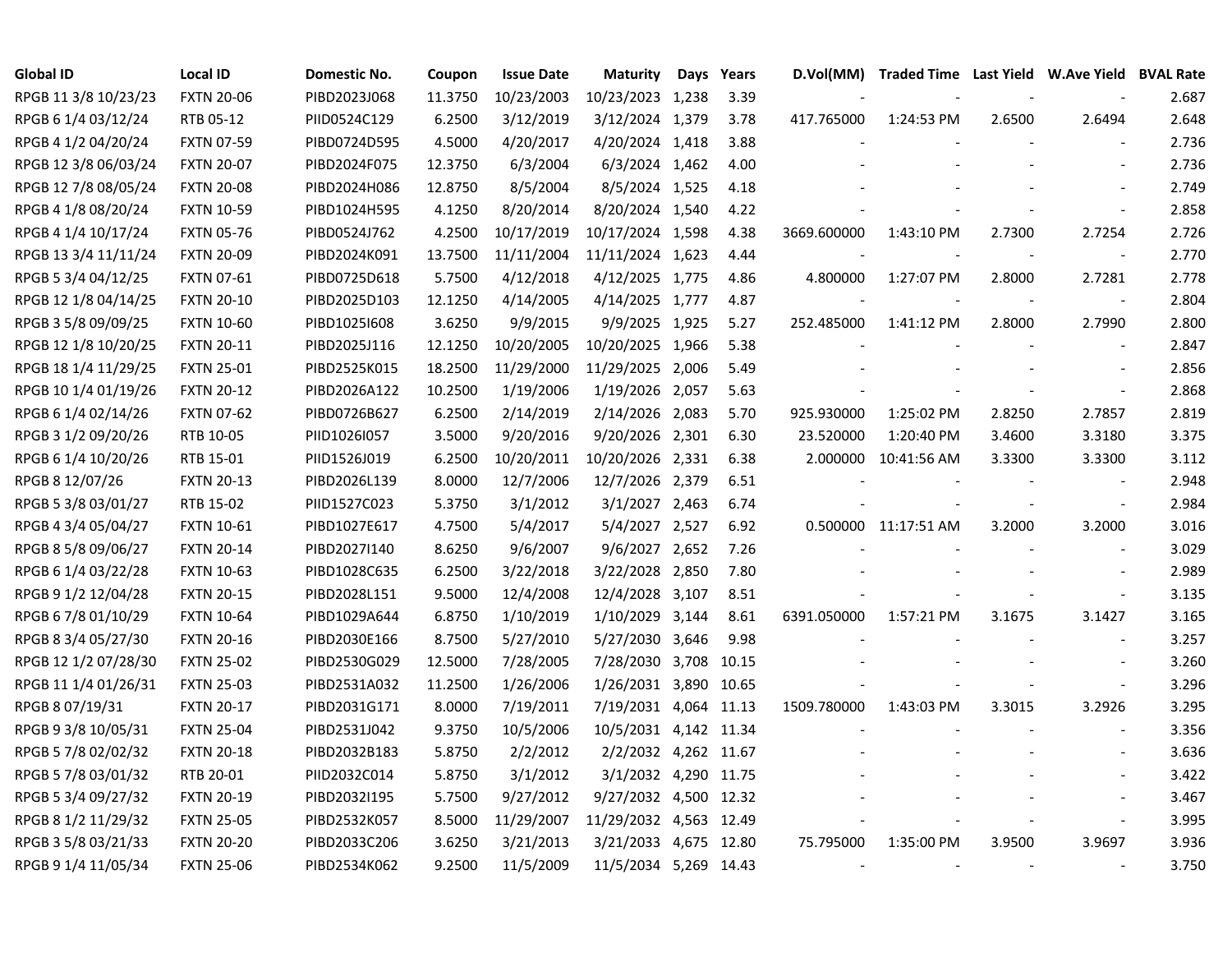| <b>Global ID</b>     | <b>Local ID</b>   | Domestic No. | Coupon  | <b>Issue Date</b> | <b>Maturity</b>        | <b>Days</b> | Years | D.Vol(MM)                | Traded Time Last Yield W.Ave Yield BVAL Rate |                |                          |       |
|----------------------|-------------------|--------------|---------|-------------------|------------------------|-------------|-------|--------------------------|----------------------------------------------|----------------|--------------------------|-------|
| RPGB 11 3/8 10/23/23 | <b>FXTN 20-06</b> | PIBD2023J068 | 11.3750 | 10/23/2003        | 10/23/2023 1,238       |             | 3.39  |                          |                                              |                |                          | 2.687 |
| RPGB 6 1/4 03/12/24  | RTB 05-12         | PIID0524C129 | 6.2500  | 3/12/2019         | 3/12/2024 1,379        |             | 3.78  | 417.765000               | 1:24:53 PM                                   | 2.6500         | 2.6494                   | 2.648 |
| RPGB 4 1/2 04/20/24  | <b>FXTN 07-59</b> | PIBD0724D595 | 4.5000  | 4/20/2017         | 4/20/2024 1,418        |             | 3.88  |                          |                                              |                |                          | 2.736 |
| RPGB 12 3/8 06/03/24 | <b>FXTN 20-07</b> | PIBD2024F075 | 12.3750 | 6/3/2004          | 6/3/2024 1,462         |             | 4.00  |                          |                                              |                |                          | 2.736 |
| RPGB 12 7/8 08/05/24 | <b>FXTN 20-08</b> | PIBD2024H086 | 12.8750 | 8/5/2004          | 8/5/2024 1,525         |             | 4.18  |                          |                                              |                | $\overline{a}$           | 2.749 |
| RPGB 4 1/8 08/20/24  | <b>FXTN 10-59</b> | PIBD1024H595 | 4.1250  | 8/20/2014         | 8/20/2024 1,540        |             | 4.22  |                          |                                              |                | $\blacksquare$           | 2.858 |
| RPGB 4 1/4 10/17/24  | <b>FXTN 05-76</b> | PIBD0524J762 | 4.2500  | 10/17/2019        | 10/17/2024 1,598       |             | 4.38  | 3669.600000              | 1:43:10 PM                                   | 2.7300         | 2.7254                   | 2.726 |
| RPGB 13 3/4 11/11/24 | <b>FXTN 20-09</b> | PIBD2024K091 | 13.7500 | 11/11/2004        | 11/11/2024 1,623       |             | 4.44  |                          |                                              |                | $\blacksquare$           | 2.770 |
| RPGB 5 3/4 04/12/25  | <b>FXTN 07-61</b> | PIBD0725D618 | 5.7500  | 4/12/2018         | 4/12/2025 1,775        |             | 4.86  | 4.800000                 | 1:27:07 PM                                   | 2.8000         | 2.7281                   | 2.778 |
| RPGB 12 1/8 04/14/25 | <b>FXTN 20-10</b> | PIBD2025D103 | 12.1250 | 4/14/2005         | 4/14/2025 1,777        |             | 4.87  |                          |                                              |                | $\overline{\phantom{a}}$ | 2.804 |
| RPGB 3 5/8 09/09/25  | <b>FXTN 10-60</b> | PIBD1025I608 | 3.6250  | 9/9/2015          | 9/9/2025 1,925         |             | 5.27  | 252.485000               | 1:41:12 PM                                   | 2.8000         | 2.7990                   | 2.800 |
| RPGB 12 1/8 10/20/25 | <b>FXTN 20-11</b> | PIBD2025J116 | 12.1250 | 10/20/2005        | 10/20/2025 1,966       |             | 5.38  |                          |                                              |                | $\sim$                   | 2.847 |
| RPGB 18 1/4 11/29/25 | <b>FXTN 25-01</b> | PIBD2525K015 | 18.2500 | 11/29/2000        | 11/29/2025 2,006       |             | 5.49  |                          |                                              |                | $\overline{a}$           | 2.856 |
| RPGB 10 1/4 01/19/26 | <b>FXTN 20-12</b> | PIBD2026A122 | 10.2500 | 1/19/2006         | 1/19/2026 2,057        |             | 5.63  |                          |                                              |                |                          | 2.868 |
| RPGB 6 1/4 02/14/26  | <b>FXTN 07-62</b> | PIBD0726B627 | 6.2500  | 2/14/2019         | 2/14/2026 2,083        |             | 5.70  | 925.930000               | 1:25:02 PM                                   | 2.8250         | 2.7857                   | 2.819 |
| RPGB 3 1/2 09/20/26  | RTB 10-05         | PIID1026I057 | 3.5000  | 9/20/2016         | 9/20/2026 2,301        |             | 6.30  | 23.520000                | 1:20:40 PM                                   | 3.4600         | 3.3180                   | 3.375 |
| RPGB 6 1/4 10/20/26  | RTB 15-01         | PIID1526J019 | 6.2500  | 10/20/2011        | 10/20/2026 2,331       |             | 6.38  | 2.000000                 | 10:41:56 AM                                  | 3.3300         | 3.3300                   | 3.112 |
| RPGB 8 12/07/26      | <b>FXTN 20-13</b> | PIBD2026L139 | 8.0000  | 12/7/2006         | 12/7/2026 2,379        |             | 6.51  |                          |                                              |                | $\sim$                   | 2.948 |
| RPGB 5 3/8 03/01/27  | RTB 15-02         | PIID1527C023 | 5.3750  | 3/1/2012          | 3/1/2027 2,463         |             | 6.74  |                          |                                              |                | $\overline{\phantom{a}}$ | 2.984 |
| RPGB 4 3/4 05/04/27  | <b>FXTN 10-61</b> | PIBD1027E617 | 4.7500  | 5/4/2017          | 5/4/2027 2,527         |             | 6.92  |                          | 0.500000 11:17:51 AM                         | 3.2000         | 3.2000                   | 3.016 |
| RPGB 8 5/8 09/06/27  | <b>FXTN 20-14</b> | PIBD2027I140 | 8.6250  | 9/6/2007          | 9/6/2027 2,652         |             | 7.26  |                          |                                              |                | $\sim$                   | 3.029 |
| RPGB 6 1/4 03/22/28  | <b>FXTN 10-63</b> | PIBD1028C635 | 6.2500  | 3/22/2018         | 3/22/2028 2,850        |             | 7.80  |                          |                                              |                | $\overline{\phantom{a}}$ | 2.989 |
| RPGB 9 1/2 12/04/28  | <b>FXTN 20-15</b> | PIBD2028L151 | 9.5000  | 12/4/2008         | 12/4/2028 3,107        |             | 8.51  |                          |                                              |                | $\sim$                   | 3.135 |
| RPGB 6 7/8 01/10/29  | <b>FXTN 10-64</b> | PIBD1029A644 | 6.8750  | 1/10/2019         | 1/10/2029 3,144        |             | 8.61  | 6391.050000              | 1:57:21 PM                                   | 3.1675         | 3.1427                   | 3.165 |
| RPGB 8 3/4 05/27/30  | <b>FXTN 20-16</b> | PIBD2030E166 | 8.7500  | 5/27/2010         | 5/27/2030 3,646        |             | 9.98  |                          |                                              |                | $\sim$                   | 3.257 |
| RPGB 12 1/2 07/28/30 | <b>FXTN 25-02</b> | PIBD2530G029 | 12.5000 | 7/28/2005         | 7/28/2030 3,708 10.15  |             |       |                          |                                              |                | $\overline{a}$           | 3.260 |
| RPGB 11 1/4 01/26/31 | <b>FXTN 25-03</b> | PIBD2531A032 | 11.2500 | 1/26/2006         | 1/26/2031 3,890 10.65  |             |       |                          |                                              |                | $\overline{\phantom{a}}$ | 3.296 |
| RPGB 8 07/19/31      | <b>FXTN 20-17</b> | PIBD2031G171 | 8.0000  | 7/19/2011         | 7/19/2031 4,064 11.13  |             |       | 1509.780000              | 1:43:03 PM                                   | 3.3015         | 3.2926                   | 3.295 |
| RPGB 9 3/8 10/05/31  | <b>FXTN 25-04</b> | PIBD2531J042 | 9.3750  | 10/5/2006         | 10/5/2031 4,142 11.34  |             |       |                          |                                              |                |                          | 3.356 |
| RPGB 5 7/8 02/02/32  | <b>FXTN 20-18</b> | PIBD2032B183 | 5.8750  | 2/2/2012          | 2/2/2032 4,262 11.67   |             |       |                          |                                              |                |                          | 3.636 |
| RPGB 5 7/8 03/01/32  | RTB 20-01         | PIID2032C014 | 5.8750  | 3/1/2012          | 3/1/2032 4,290 11.75   |             |       |                          |                                              |                |                          | 3.422 |
| RPGB 5 3/4 09/27/32  | <b>FXTN 20-19</b> | PIBD2032I195 | 5.7500  | 9/27/2012         | 9/27/2032 4,500 12.32  |             |       |                          |                                              |                |                          | 3.467 |
| RPGB 8 1/2 11/29/32  | <b>FXTN 25-05</b> | PIBD2532K057 | 8.5000  | 11/29/2007        | 11/29/2032 4,563 12.49 |             |       |                          |                                              |                | $\overline{\phantom{a}}$ | 3.995 |
| RPGB 3 5/8 03/21/33  | <b>FXTN 20-20</b> | PIBD2033C206 | 3.6250  | 3/21/2013         | 3/21/2033 4,675 12.80  |             |       | 75.795000                | 1:35:00 PM                                   | 3.9500         | 3.9697                   | 3.936 |
| RPGB 9 1/4 11/05/34  | <b>FXTN 25-06</b> | PIBD2534K062 | 9.2500  | 11/5/2009         | 11/5/2034 5,269 14.43  |             |       | $\overline{\phantom{a}}$ | $\tilde{\phantom{a}}$                        | $\blacksquare$ | $\sim$                   | 3.750 |